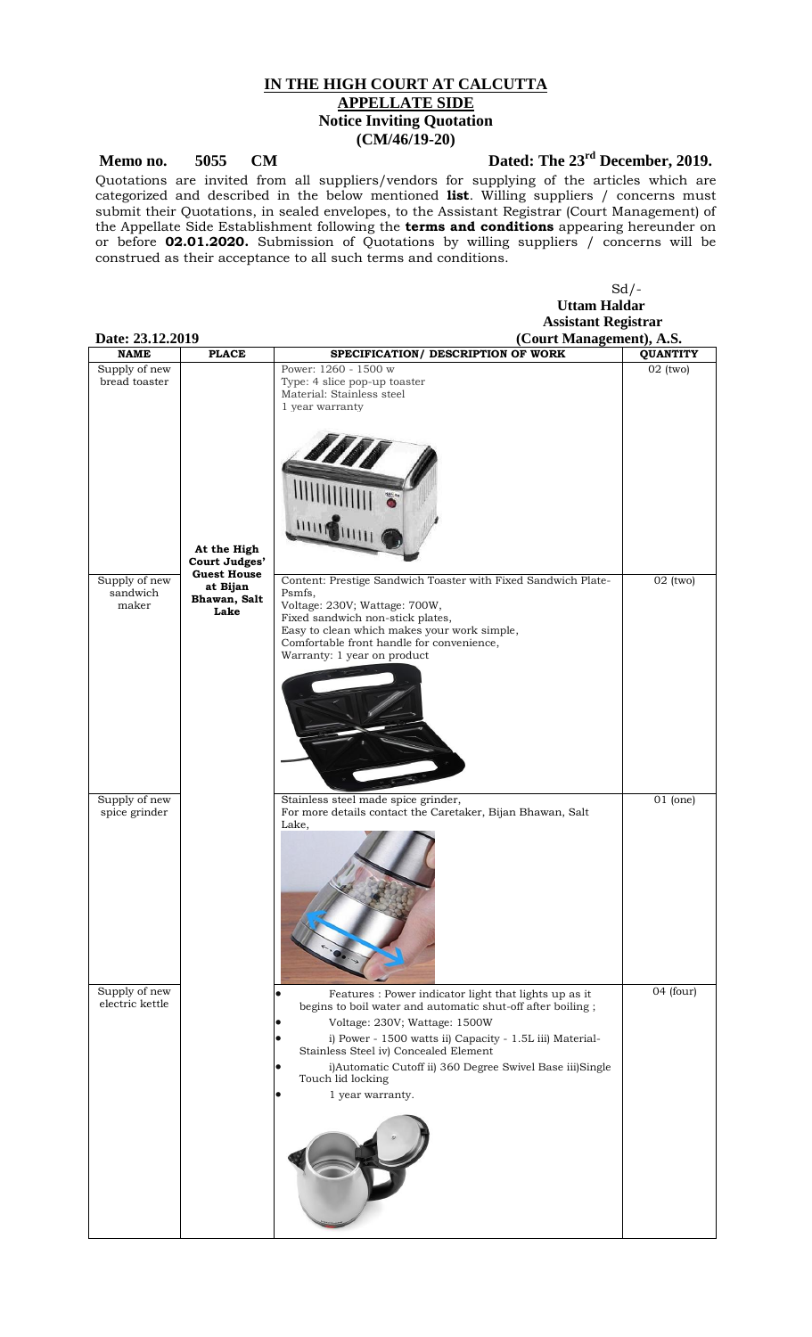## **IN THE HIGH COURT AT CALCUTTA APPELLATE SIDE Notice Inviting Quotation (CM/46/19-20)**

Memo no. 5055 CM Dated: The  $23<sup>rd</sup>$  December, 2019.

 $Sd$  /-

Quotations are invited from all suppliers/vendors for supplying of the articles which are categorized and described in the below mentioned **list**. Willing suppliers / concerns must submit their Quotations, in sealed envelopes, to the Assistant Registrar (Court Management) of the Appellate Side Establishment following the **terms and conditions** appearing hereunder on or before **02.01.2020.** Submission of Quotations by willing suppliers / concerns will be construed as their acceptance to all such terms and conditions.

|                                    |                                                        | <b>Uttam Haldar</b>                                                                                                                                                                                                                                                                                                                                            |                               |
|------------------------------------|--------------------------------------------------------|----------------------------------------------------------------------------------------------------------------------------------------------------------------------------------------------------------------------------------------------------------------------------------------------------------------------------------------------------------------|-------------------------------|
|                                    |                                                        | <b>Assistant Registrar</b>                                                                                                                                                                                                                                                                                                                                     |                               |
| Date: 23.12.2019<br><b>NAME</b>    | <b>PLACE</b>                                           | (Court Management), A.S.<br>SPECIFICATION/ DESCRIPTION OF WORK                                                                                                                                                                                                                                                                                                 |                               |
| Supply of new<br>bread toaster     |                                                        | Power: 1260 - 1500 w<br>Type: 4 slice pop-up toaster<br>Material: Stainless steel<br>1 year warranty                                                                                                                                                                                                                                                           | <b>QUANTITY</b><br>$02$ (two) |
|                                    | At the High<br>Court Judges'                           |                                                                                                                                                                                                                                                                                                                                                                |                               |
| Supply of new<br>sandwich<br>maker | <b>Guest House</b><br>at Bijan<br>Bhawan, Salt<br>Lake | Content: Prestige Sandwich Toaster with Fixed Sandwich Plate-<br>Psmfs,<br>Voltage: 230V; Wattage: 700W,<br>Fixed sandwich non-stick plates,<br>Easy to clean which makes your work simple,<br>Comfortable front handle for convenience,<br>Warranty: 1 year on product                                                                                        | $02$ (two)                    |
|                                    |                                                        |                                                                                                                                                                                                                                                                                                                                                                |                               |
| Supply of new<br>spice grinder     |                                                        | Stainless steel made spice grinder,<br>For more details contact the Caretaker, Bijan Bhawan, Salt<br>Lake,                                                                                                                                                                                                                                                     | $01$ (one)                    |
| Supply of new<br>electric kettle   |                                                        | Features : Power indicator light that lights up as it<br>begins to boil water and automatic shut-off after boiling;<br>Voltage: 230V; Wattage: 1500W<br>i) Power - 1500 watts ii) Capacity - 1.5L iii) Material-<br>Stainless Steel iv) Concealed Element<br>i)Automatic Cutoff ii) 360 Degree Swivel Base iii)Single<br>Touch lid locking<br>1 year warranty. | 04 (four)                     |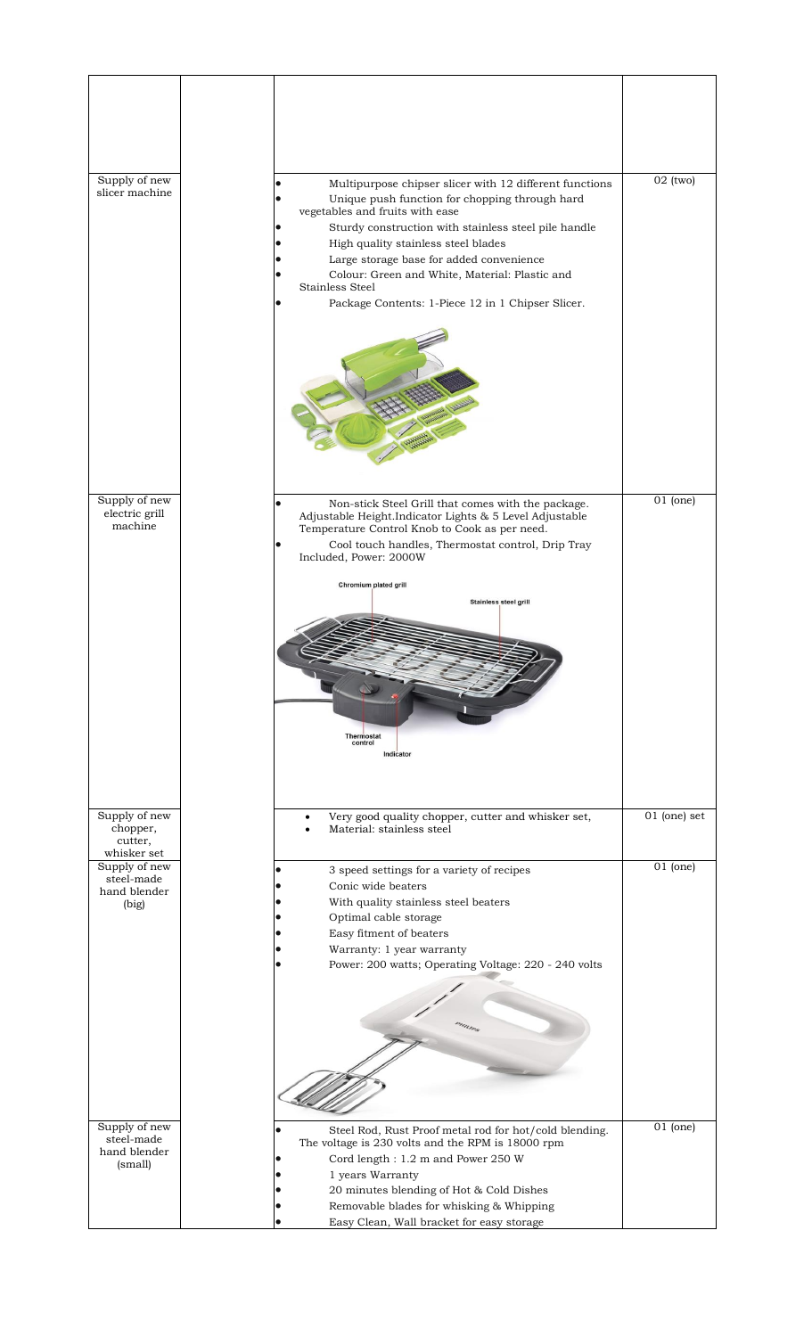